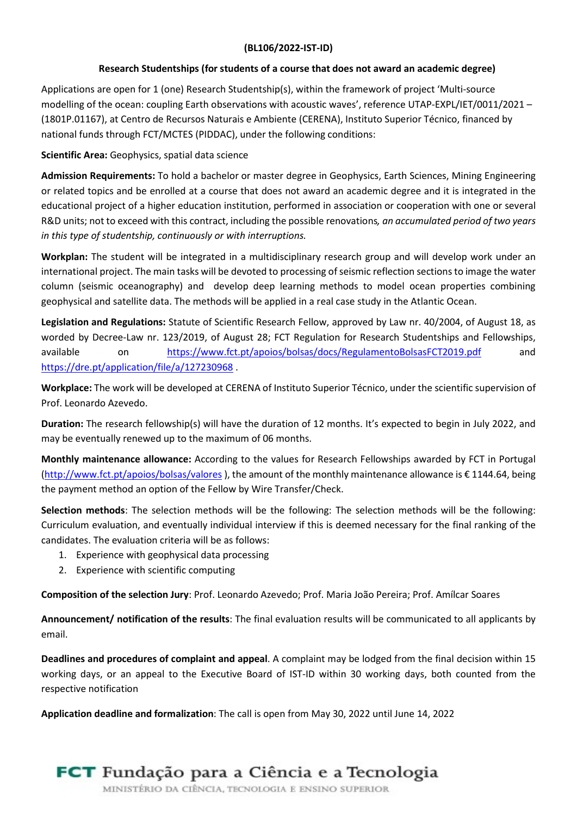## (BL106/2022-IST-ID)

## Research Studentships (for students of a course that does not award an academic degree)

Applications are open for 1 (one) Research Studentship(s), within the framework of project 'Multi-source modelling of the ocean: coupling Earth observations with acoustic waves', reference UTAP-EXPL/IET/0011/2021 – (1801P.01167), at Centro de Recursos Naturais e Ambiente (CERENA), Instituto Superior Técnico, financed by national funds through FCT/MCTES (PIDDAC), under the following conditions:

Scientific Area: Geophysics, spatial data science

Admission Requirements: To hold a bachelor or master degree in Geophysics, Earth Sciences, Mining Engineering or related topics and be enrolled at a course that does not award an academic degree and it is integrated in the educational project of a higher education institution, performed in association or cooperation with one or several R&D units; not to exceed with this contract, including the possible renovations, an accumulated period of two years in this type of studentship, continuously or with interruptions.

Workplan: The student will be integrated in a multidisciplinary research group and will develop work under an international project. The main tasks will be devoted to processing of seismic reflection sections to image the water column (seismic oceanography) and develop deep learning methods to model ocean properties combining geophysical and satellite data. The methods will be applied in a real case study in the Atlantic Ocean.

Legislation and Regulations: Statute of Scientific Research Fellow, approved by Law nr. 40/2004, of August 18, as worded by Decree-Law nr. 123/2019, of August 28; FCT Regulation for Research Studentships and Fellowships, available on https://www.fct.pt/apoios/bolsas/docs/RegulamentoBolsasFCT2019.pdf and https://dre.pt/application/file/a/127230968 .

Workplace: The work will be developed at CERENA of Instituto Superior Técnico, under the scientific supervision of Prof. Leonardo Azevedo.

Duration: The research fellowship(s) will have the duration of 12 months. It's expected to begin in July 2022, and may be eventually renewed up to the maximum of 06 months.

Monthly maintenance allowance: According to the values for Research Fellowships awarded by FCT in Portugal (http://www.fct.pt/apoios/bolsas/valores ), the amount of the monthly maintenance allowance is € 1144.64, being the payment method an option of the Fellow by Wire Transfer/Check.

Selection methods: The selection methods will be the following: The selection methods will be the following: Curriculum evaluation, and eventually individual interview if this is deemed necessary for the final ranking of the candidates. The evaluation criteria will be as follows:

- 1. Experience with geophysical data processing
- 2. Experience with scientific computing

Composition of the selection Jury: Prof. Leonardo Azevedo; Prof. Maria João Pereira; Prof. Amílcar Soares

Announcement/ notification of the results: The final evaluation results will be communicated to all applicants by email.

Deadlines and procedures of complaint and appeal. A complaint may be lodged from the final decision within 15 working days, or an appeal to the Executive Board of IST-ID within 30 working days, both counted from the respective notification

Application deadline and formalization: The call is open from May 30, 2022 until June 14, 2022